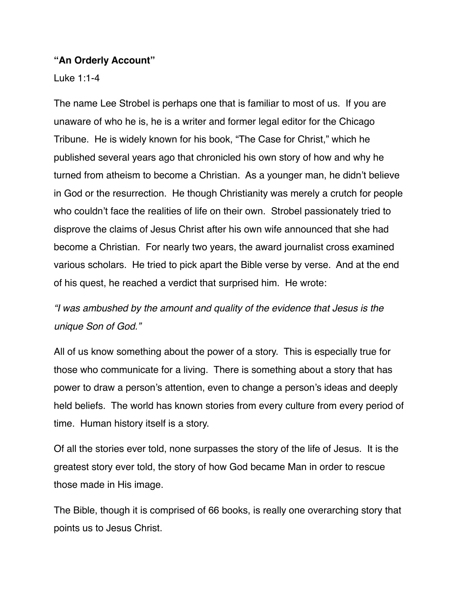#### **"An Orderly Account"**

Luke 1:1-4

The name Lee Strobel is perhaps one that is familiar to most of us. If you are unaware of who he is, he is a writer and former legal editor for the Chicago Tribune. He is widely known for his book, "The Case for Christ," which he published several years ago that chronicled his own story of how and why he turned from atheism to become a Christian. As a younger man, he didn't believe in God or the resurrection. He though Christianity was merely a crutch for people who couldn't face the realities of life on their own. Strobel passionately tried to disprove the claims of Jesus Christ after his own wife announced that she had become a Christian. For nearly two years, the award journalist cross examined various scholars. He tried to pick apart the Bible verse by verse. And at the end of his quest, he reached a verdict that surprised him. He wrote:

*"I was ambushed by the amount and quality of the evidence that Jesus is the unique Son of God."*

All of us know something about the power of a story. This is especially true for those who communicate for a living. There is something about a story that has power to draw a person's attention, even to change a person's ideas and deeply held beliefs. The world has known stories from every culture from every period of time. Human history itself is a story.

Of all the stories ever told, none surpasses the story of the life of Jesus. It is the greatest story ever told, the story of how God became Man in order to rescue those made in His image.

The Bible, though it is comprised of 66 books, is really one overarching story that points us to Jesus Christ.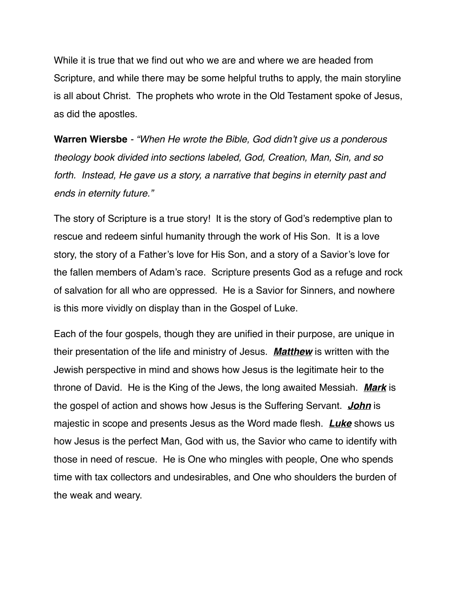While it is true that we find out who we are and where we are headed from Scripture, and while there may be some helpful truths to apply, the main storyline is all about Christ. The prophets who wrote in the Old Testament spoke of Jesus, as did the apostles.

**Warren Wiersbe** *- "When He wrote the Bible, God didn't give us a ponderous theology book divided into sections labeled, God, Creation, Man, Sin, and so*  forth. Instead, He gave us a story, a narrative that begins in eternity past and *ends in eternity future."* 

The story of Scripture is a true story! It is the story of God's redemptive plan to rescue and redeem sinful humanity through the work of His Son. It is a love story, the story of a Father's love for His Son, and a story of a Savior's love for the fallen members of Adam's race. Scripture presents God as a refuge and rock of salvation for all who are oppressed. He is a Savior for Sinners, and nowhere is this more vividly on display than in the Gospel of Luke.

Each of the four gospels, though they are unified in their purpose, are unique in their presentation of the life and ministry of Jesus. *Matthew* is written with the Jewish perspective in mind and shows how Jesus is the legitimate heir to the throne of David. He is the King of the Jews, the long awaited Messiah. *Mark* is the gospel of action and shows how Jesus is the Suffering Servant. *John* is majestic in scope and presents Jesus as the Word made flesh. *Luke* shows us how Jesus is the perfect Man, God with us, the Savior who came to identify with those in need of rescue. He is One who mingles with people, One who spends time with tax collectors and undesirables, and One who shoulders the burden of the weak and weary.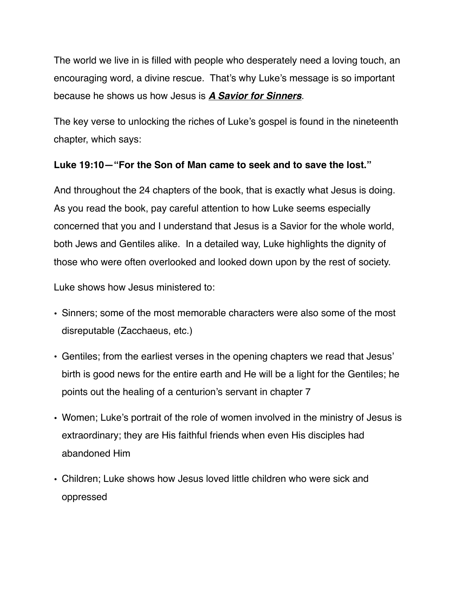The world we live in is filled with people who desperately need a loving touch, an encouraging word, a divine rescue. That's why Luke's message is so important because he shows us how Jesus is *A Savior for Sinners*.

The key verse to unlocking the riches of Luke's gospel is found in the nineteenth chapter, which says:

### **Luke 19:10—"For the Son of Man came to seek and to save the lost."**

And throughout the 24 chapters of the book, that is exactly what Jesus is doing. As you read the book, pay careful attention to how Luke seems especially concerned that you and I understand that Jesus is a Savior for the whole world, both Jews and Gentiles alike. In a detailed way, Luke highlights the dignity of those who were often overlooked and looked down upon by the rest of society.

Luke shows how Jesus ministered to:

- **•** Sinners; some of the most memorable characters were also some of the most disreputable (Zacchaeus, etc.)
- **•** Gentiles; from the earliest verses in the opening chapters we read that Jesus' birth is good news for the entire earth and He will be a light for the Gentiles; he points out the healing of a centurion's servant in chapter 7
- **•** Women; Luke's portrait of the role of women involved in the ministry of Jesus is extraordinary; they are His faithful friends when even His disciples had abandoned Him
- **•** Children; Luke shows how Jesus loved little children who were sick and oppressed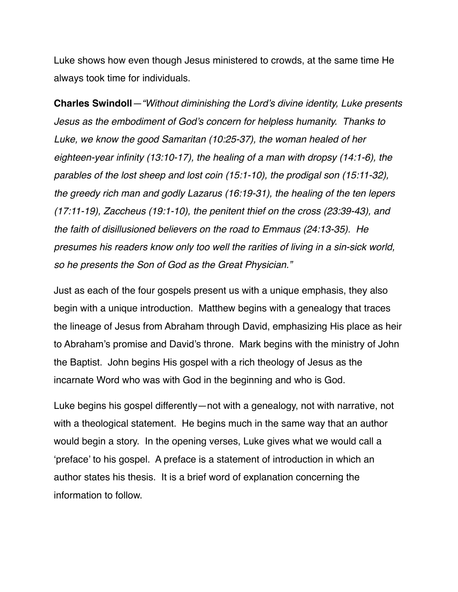Luke shows how even though Jesus ministered to crowds, at the same time He always took time for individuals.

**Charles Swindoll***—"Without diminishing the Lord's divine identity, Luke presents Jesus as the embodiment of God's concern for helpless humanity. Thanks to Luke, we know the good Samaritan (10:25-37), the woman healed of her eighteen-year infinity (13:10-17), the healing of a man with dropsy (14:1-6), the parables of the lost sheep and lost coin (15:1-10), the prodigal son (15:11-32), the greedy rich man and godly Lazarus (16:19-31), the healing of the ten lepers (17:11-19), Zaccheus (19:1-10), the penitent thief on the cross (23:39-43), and the faith of disillusioned believers on the road to Emmaus (24:13-35). He presumes his readers know only too well the rarities of living in a sin-sick world, so he presents the Son of God as the Great Physician."*

Just as each of the four gospels present us with a unique emphasis, they also begin with a unique introduction. Matthew begins with a genealogy that traces the lineage of Jesus from Abraham through David, emphasizing His place as heir to Abraham's promise and David's throne. Mark begins with the ministry of John the Baptist. John begins His gospel with a rich theology of Jesus as the incarnate Word who was with God in the beginning and who is God.

Luke begins his gospel differently—not with a genealogy, not with narrative, not with a theological statement. He begins much in the same way that an author would begin a story. In the opening verses, Luke gives what we would call a 'preface' to his gospel. A preface is a statement of introduction in which an author states his thesis. It is a brief word of explanation concerning the information to follow.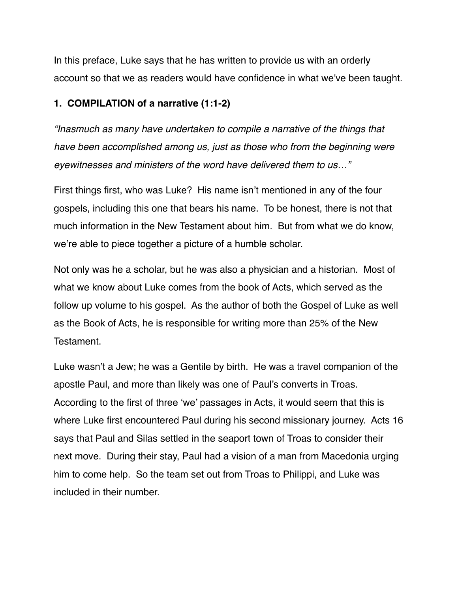In this preface, Luke says that he has written to provide us with an orderly account so that we as readers would have confidence in what we've been taught.

#### **1. COMPILATION of a narrative (1:1-2)**

*"Inasmuch as many have undertaken to compile a narrative of the things that have been accomplished among us, just as those who from the beginning were eyewitnesses and ministers of the word have delivered them to us…"*

First things first, who was Luke? His name isn't mentioned in any of the four gospels, including this one that bears his name. To be honest, there is not that much information in the New Testament about him. But from what we do know, we're able to piece together a picture of a humble scholar.

Not only was he a scholar, but he was also a physician and a historian. Most of what we know about Luke comes from the book of Acts, which served as the follow up volume to his gospel. As the author of both the Gospel of Luke as well as the Book of Acts, he is responsible for writing more than 25% of the New Testament.

Luke wasn't a Jew; he was a Gentile by birth. He was a travel companion of the apostle Paul, and more than likely was one of Paul's converts in Troas. According to the first of three 'we' passages in Acts, it would seem that this is where Luke first encountered Paul during his second missionary journey. Acts 16 says that Paul and Silas settled in the seaport town of Troas to consider their next move. During their stay, Paul had a vision of a man from Macedonia urging him to come help. So the team set out from Troas to Philippi, and Luke was included in their number.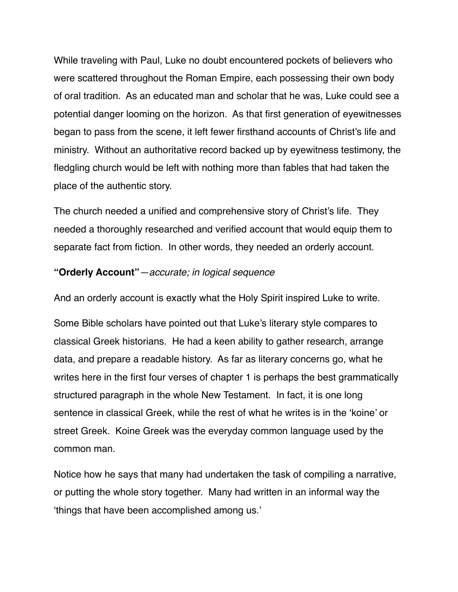While traveling with Paul, Luke no doubt encountered pockets of believers who were scattered throughout the Roman Empire, each possessing their own body of oral tradition. As an educated man and scholar that he was, Luke could see a potential danger looming on the horizon. As that first generation of eyewitnesses began to pass from the scene, it left fewer firsthand accounts of Christ's life and ministry. Without an authoritative record backed up by eyewitness testimony, the fledgling church would be left with nothing more than fables that had taken the place of the authentic story.

The church needed a unified and comprehensive story of Christ's life. They needed a thoroughly researched and verified account that would equip them to separate fact from fiction. In other words, they needed an orderly account.

### **"Orderly Account"***—accurate; in logical sequence*

And an orderly account is exactly what the Holy Spirit inspired Luke to write.

Some Bible scholars have pointed out that Luke's literary style compares to classical Greek historians. He had a keen ability to gather research, arrange data, and prepare a readable history. As far as literary concerns go, what he writes here in the first four verses of chapter 1 is perhaps the best grammatically structured paragraph in the whole New Testament. In fact, it is one long sentence in classical Greek, while the rest of what he writes is in the 'koine' or street Greek. Koine Greek was the everyday common language used by the common man.

Notice how he says that many had undertaken the task of compiling a narrative, or putting the whole story together. Many had written in an informal way the 'things that have been accomplished among us.'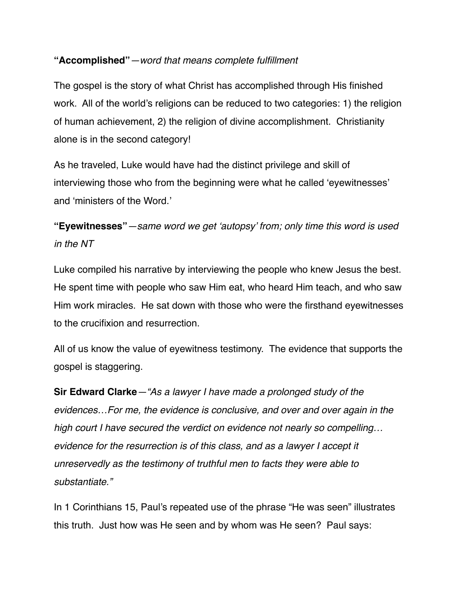### **"Accomplished"***—word that means complete fulfillment*

The gospel is the story of what Christ has accomplished through His finished work. All of the world's religions can be reduced to two categories: 1) the religion of human achievement, 2) the religion of divine accomplishment. Christianity alone is in the second category!

As he traveled, Luke would have had the distinct privilege and skill of interviewing those who from the beginning were what he called 'eyewitnesses' and 'ministers of the Word.'

**"Eyewitnesses"***—same word we get 'autopsy' from; only time this word is used in the NT*

Luke compiled his narrative by interviewing the people who knew Jesus the best. He spent time with people who saw Him eat, who heard Him teach, and who saw Him work miracles. He sat down with those who were the firsthand eyewitnesses to the crucifixion and resurrection.

All of us know the value of eyewitness testimony. The evidence that supports the gospel is staggering.

**Sir Edward Clarke***—"As a lawyer I have made a prolonged study of the evidences…For me, the evidence is conclusive, and over and over again in the high court I have secured the verdict on evidence not nearly so compelling… evidence for the resurrection is of this class, and as a lawyer I accept it unreservedly as the testimony of truthful men to facts they were able to substantiate."*

In 1 Corinthians 15, Paul's repeated use of the phrase "He was seen" illustrates this truth. Just how was He seen and by whom was He seen? Paul says: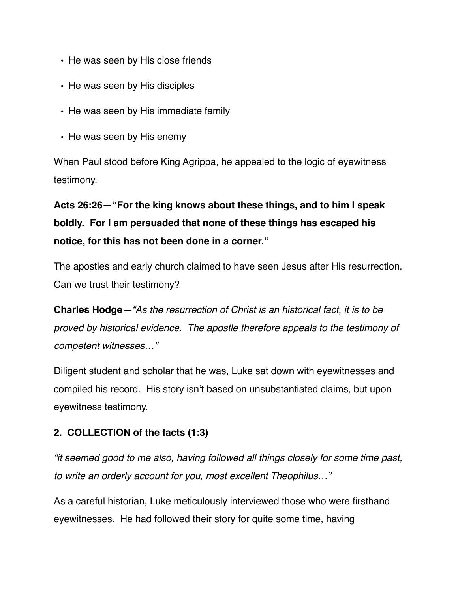- **•** He was seen by His close friends
- **•** He was seen by His disciples
- **•** He was seen by His immediate family
- **•** He was seen by His enemy

When Paul stood before King Agrippa, he appealed to the logic of eyewitness testimony.

**Acts 26:26—"For the king knows about these things, and to him I speak boldly. For I am persuaded that none of these things has escaped his notice, for this has not been done in a corner."**

The apostles and early church claimed to have seen Jesus after His resurrection. Can we trust their testimony?

**Charles Hodge***—"As the resurrection of Christ is an historical fact, it is to be proved by historical evidence. The apostle therefore appeals to the testimony of competent witnesses…"* 

Diligent student and scholar that he was, Luke sat down with eyewitnesses and compiled his record. His story isn't based on unsubstantiated claims, but upon eyewitness testimony.

### **2. COLLECTION of the facts (1:3)**

*"it seemed good to me also, having followed all things closely for some time past, to write an orderly account for you, most excellent Theophilus…"*

As a careful historian, Luke meticulously interviewed those who were firsthand eyewitnesses. He had followed their story for quite some time, having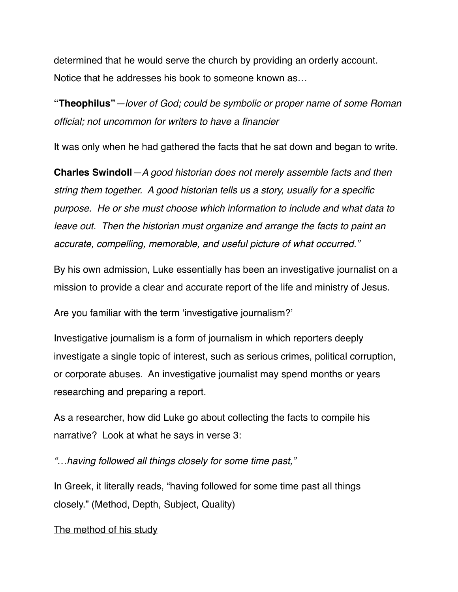determined that he would serve the church by providing an orderly account. Notice that he addresses his book to someone known as…

**"Theophilus"***—lover of God; could be symbolic or proper name of some Roman official; not uncommon for writers to have a financier* 

It was only when he had gathered the facts that he sat down and began to write.

**Charles Swindoll***—A good historian does not merely assemble facts and then string them together. A good historian tells us a story, usually for a specific purpose. He or she must choose which information to include and what data to leave out. Then the historian must organize and arrange the facts to paint an accurate, compelling, memorable, and useful picture of what occurred."*

By his own admission, Luke essentially has been an investigative journalist on a mission to provide a clear and accurate report of the life and ministry of Jesus.

Are you familiar with the term 'investigative journalism?'

Investigative journalism is a form of journalism in which reporters deeply investigate a single topic of interest, such as serious crimes, political corruption, or corporate abuses. An investigative journalist may spend months or years researching and preparing a report.

As a researcher, how did Luke go about collecting the facts to compile his narrative? Look at what he says in verse 3:

*"…having followed all things closely for some time past,"*

In Greek, it literally reads, "having followed for some time past all things closely." (Method, Depth, Subject, Quality)

The method of his study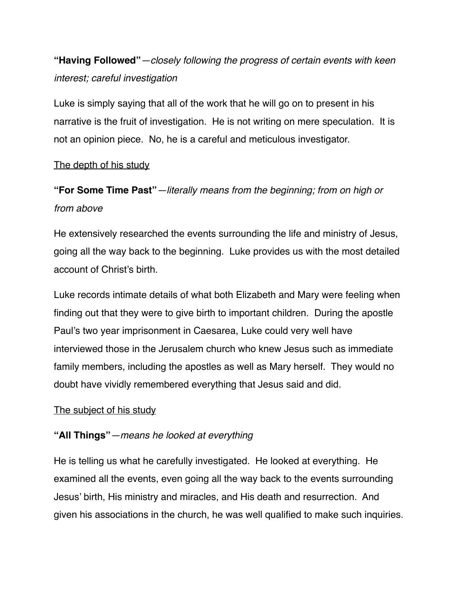# **"Having Followed"***—closely following the progress of certain events with keen interest; careful investigation*

Luke is simply saying that all of the work that he will go on to present in his narrative is the fruit of investigation. He is not writing on mere speculation. It is not an opinion piece. No, he is a careful and meticulous investigator.

### The depth of his study

# **"For Some Time Past"***—literally means from the beginning; from on high or from above*

He extensively researched the events surrounding the life and ministry of Jesus, going all the way back to the beginning. Luke provides us with the most detailed account of Christ's birth.

Luke records intimate details of what both Elizabeth and Mary were feeling when finding out that they were to give birth to important children. During the apostle Paul's two year imprisonment in Caesarea, Luke could very well have interviewed those in the Jerusalem church who knew Jesus such as immediate family members, including the apostles as well as Mary herself. They would no doubt have vividly remembered everything that Jesus said and did.

### The subject of his study

## **"All Things"***—means he looked at everything*

He is telling us what he carefully investigated. He looked at everything. He examined all the events, even going all the way back to the events surrounding Jesus' birth, His ministry and miracles, and His death and resurrection. And given his associations in the church, he was well qualified to make such inquiries.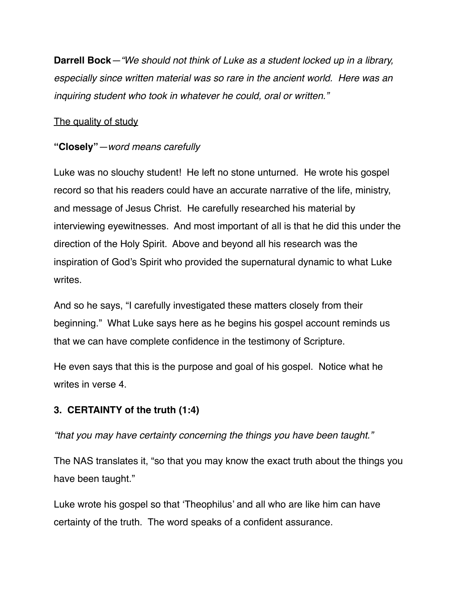**Darrell Bock***—"We should not think of Luke as a student locked up in a library, especially since written material was so rare in the ancient world. Here was an inquiring student who took in whatever he could, oral or written."*

## The quality of study

## **"Closely"***—word means carefully*

Luke was no slouchy student! He left no stone unturned. He wrote his gospel record so that his readers could have an accurate narrative of the life, ministry, and message of Jesus Christ. He carefully researched his material by interviewing eyewitnesses. And most important of all is that he did this under the direction of the Holy Spirit. Above and beyond all his research was the inspiration of God's Spirit who provided the supernatural dynamic to what Luke writes.

And so he says, "I carefully investigated these matters closely from their beginning." What Luke says here as he begins his gospel account reminds us that we can have complete confidence in the testimony of Scripture.

He even says that this is the purpose and goal of his gospel. Notice what he writes in verse 4.

## **3. CERTAINTY of the truth (1:4)**

*"that you may have certainty concerning the things you have been taught."*

The NAS translates it, "so that you may know the exact truth about the things you have been taught."

Luke wrote his gospel so that 'Theophilus' and all who are like him can have certainty of the truth. The word speaks of a confident assurance.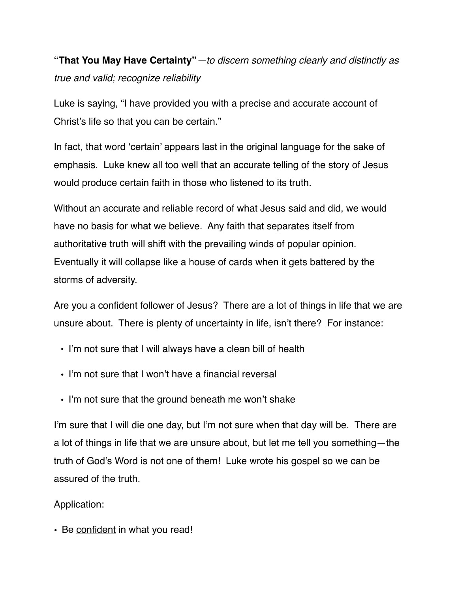**"That You May Have Certainty"***—to discern something clearly and distinctly as true and valid; recognize reliability*

Luke is saying, "I have provided you with a precise and accurate account of Christ's life so that you can be certain."

In fact, that word 'certain' appears last in the original language for the sake of emphasis. Luke knew all too well that an accurate telling of the story of Jesus would produce certain faith in those who listened to its truth.

Without an accurate and reliable record of what Jesus said and did, we would have no basis for what we believe. Any faith that separates itself from authoritative truth will shift with the prevailing winds of popular opinion. Eventually it will collapse like a house of cards when it gets battered by the storms of adversity.

Are you a confident follower of Jesus? There are a lot of things in life that we are unsure about. There is plenty of uncertainty in life, isn't there? For instance:

- I'm not sure that I will always have a clean bill of health
- I'm not sure that I won't have a financial reversal
- I'm not sure that the ground beneath me won't shake

I'm sure that I will die one day, but I'm not sure when that day will be. There are a lot of things in life that we are unsure about, but let me tell you something—the truth of God's Word is not one of them! Luke wrote his gospel so we can be assured of the truth.

### Application:

• Be confident in what you read!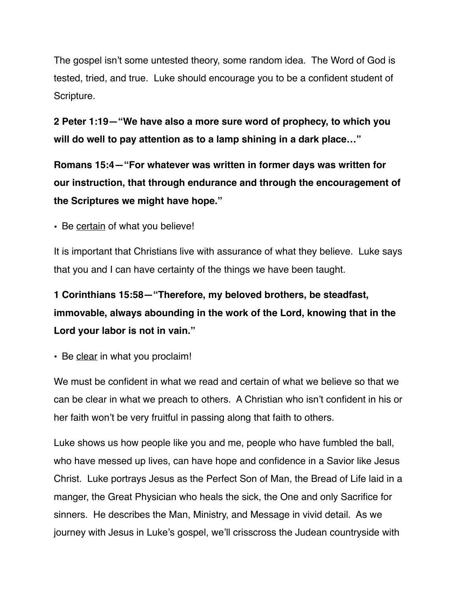The gospel isn't some untested theory, some random idea. The Word of God is tested, tried, and true. Luke should encourage you to be a confident student of Scripture.

**2 Peter 1:19—"We have also a more sure word of prophecy, to which you will do well to pay attention as to a lamp shining in a dark place…"**

**Romans 15:4—"For whatever was written in former days was written for our instruction, that through endurance and through the encouragement of the Scriptures we might have hope."**

• Be certain of what you believe!

It is important that Christians live with assurance of what they believe. Luke says that you and I can have certainty of the things we have been taught.

**1 Corinthians 15:58—"Therefore, my beloved brothers, be steadfast, immovable, always abounding in the work of the Lord, knowing that in the Lord your labor is not in vain."**

• Be clear in what you proclaim!

We must be confident in what we read and certain of what we believe so that we can be clear in what we preach to others. A Christian who isn't confident in his or her faith won't be very fruitful in passing along that faith to others.

Luke shows us how people like you and me, people who have fumbled the ball, who have messed up lives, can have hope and confidence in a Savior like Jesus Christ. Luke portrays Jesus as the Perfect Son of Man, the Bread of Life laid in a manger, the Great Physician who heals the sick, the One and only Sacrifice for sinners. He describes the Man, Ministry, and Message in vivid detail. As we journey with Jesus in Luke's gospel, we'll crisscross the Judean countryside with